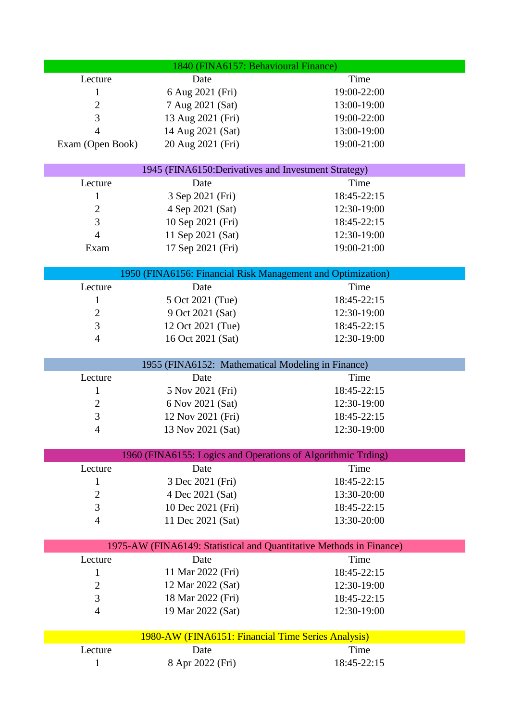| 1840 (FINA6157: Behavioural Finance)                                |                                                     |                                                              |  |
|---------------------------------------------------------------------|-----------------------------------------------------|--------------------------------------------------------------|--|
| Lecture                                                             | Date                                                | Time                                                         |  |
| 1                                                                   | 6 Aug 2021 (Fri)                                    | 19:00-22:00                                                  |  |
| $\mathbf{2}$                                                        | 7 Aug 2021 (Sat)                                    | 13:00-19:00                                                  |  |
| 3                                                                   | 13 Aug 2021 (Fri)                                   | 19:00-22:00                                                  |  |
| $\overline{4}$                                                      | 14 Aug 2021 (Sat)                                   | 13:00-19:00                                                  |  |
| Exam (Open Book)                                                    | 20 Aug 2021 (Fri)                                   | 19:00-21:00                                                  |  |
|                                                                     |                                                     |                                                              |  |
|                                                                     | 1945 (FINA6150:Derivatives and Investment Strategy) |                                                              |  |
| Lecture                                                             | Date                                                | Time                                                         |  |
| 1                                                                   | 3 Sep 2021 (Fri)                                    | 18:45-22:15                                                  |  |
| $\overline{2}$                                                      | 4 Sep 2021 (Sat)                                    | 12:30-19:00                                                  |  |
| 3                                                                   | 10 Sep 2021 (Fri)                                   | 18:45-22:15                                                  |  |
| $\overline{4}$                                                      | 11 Sep 2021 (Sat)                                   | 12:30-19:00                                                  |  |
| Exam                                                                | 17 Sep 2021 (Fri)                                   | 19:00-21:00                                                  |  |
|                                                                     |                                                     | 1950 (FINA6156: Financial Risk Management and Optimization)  |  |
| Lecture                                                             | Date                                                | Time                                                         |  |
| 1                                                                   | 5 Oct 2021 (Tue)                                    | 18:45-22:15                                                  |  |
| $\overline{2}$                                                      | 9 Oct 2021 (Sat)                                    | 12:30-19:00                                                  |  |
| 3                                                                   | 12 Oct 2021 (Tue)                                   | 18:45-22:15                                                  |  |
| $\overline{4}$                                                      | 16 Oct 2021 (Sat)                                   | 12:30-19:00                                                  |  |
|                                                                     |                                                     |                                                              |  |
| 1955 (FINA6152: Mathematical Modeling in Finance)                   |                                                     |                                                              |  |
| Lecture                                                             | Date                                                | Time                                                         |  |
| 1                                                                   | 5 Nov 2021 (Fri)                                    | 18:45-22:15                                                  |  |
| $\overline{2}$                                                      | 6 Nov 2021 (Sat)                                    | 12:30-19:00                                                  |  |
| $\mathfrak{Z}$                                                      | 12 Nov 2021 (Fri)                                   | 18:45-22:15                                                  |  |
| 4                                                                   | 13 Nov 2021 (Sat)                                   | 12:30-19:00                                                  |  |
|                                                                     |                                                     |                                                              |  |
|                                                                     |                                                     | 1960 (FINA6155: Logics and Operations of Algorithmic Trding) |  |
| Lecture                                                             | Date                                                | Time                                                         |  |
| 1                                                                   | 3 Dec 2021 (Fri)                                    | 18:45-22:15                                                  |  |
| $\mathbf{2}$<br>$\mathfrak{Z}$                                      | 4 Dec 2021 (Sat)<br>10 Dec 2021 (Fri)               | 13:30-20:00<br>18:45-22:15                                   |  |
| $\overline{4}$                                                      | 11 Dec 2021 (Sat)                                   | 13:30-20:00                                                  |  |
|                                                                     |                                                     |                                                              |  |
| 1975-AW (FINA6149: Statistical and Quantitative Methods in Finance) |                                                     |                                                              |  |
| Lecture                                                             | Date                                                | Time                                                         |  |
| 1                                                                   | 11 Mar 2022 (Fri)                                   | 18:45-22:15                                                  |  |
| $\overline{2}$                                                      | 12 Mar 2022 (Sat)                                   | 12:30-19:00                                                  |  |
| 3                                                                   | 18 Mar 2022 (Fri)                                   | 18:45-22:15                                                  |  |
| $\overline{4}$                                                      | 19 Mar 2022 (Sat)                                   | 12:30-19:00                                                  |  |
|                                                                     |                                                     |                                                              |  |
| 1980-AW (FINA6151: Financial Time Series Analysis)                  |                                                     |                                                              |  |
| Lecture                                                             | Date                                                | Time                                                         |  |
| $\mathbf{1}$                                                        | 8 Apr 2022 (Fri)                                    | 18:45-22:15                                                  |  |
|                                                                     |                                                     |                                                              |  |